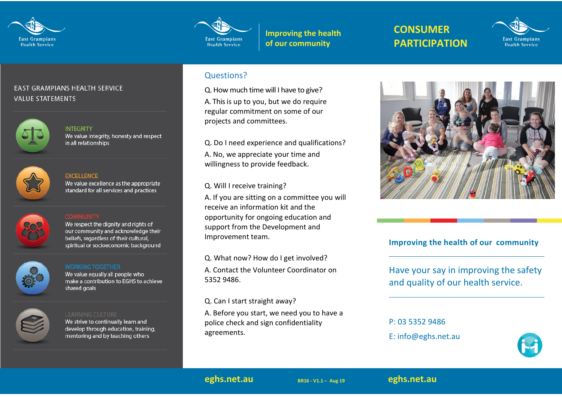



**Improving the health of our community**

# **CONSUMER PARTICIPATION**



### **EAST GRAMPIANS HEALTH SERVICE VALUE STATEMENTS**



**INTEGRITY** We value integrity, honesty and respect in all relationships



#### **EXCELLENCE**

We value excellence as the appropriate standard for all services and practices



We respect the dignity and rights of our community and acknowledge their beliefs, regardless of their cultural, spiritual or socioeconomic background

We value equally all people who make a contribution to EGHS to achieve shared goals



We strive to continually learn and develop through education, training, mentoring and by teaching others

#### Questions?

Q. How much time will I have to give?

A. This is up to you, but we do require regular commitment on some of our projects and committees.

Q. Do I need experience and qualifications?

A. No, we appreciate your time and willingness to provide feedback.

Q. Will I receive training?

A. If you are sitting on a committee you will receive an information kit and the opportunity for ongoing education and support from the Development and Improvement team.

Q. What now? How do I get involved? A. Contact the Volunteer Coordinator on 5352 9486.

Q. Can I start straight away?

A. Before you start, we need you to have a police check and sign confidentiality agreements.



## **Improving the health of our community**

Have your say in improving the safety and quality of our health service.

P: 03 5352 9486

E: info@eghs.net.au